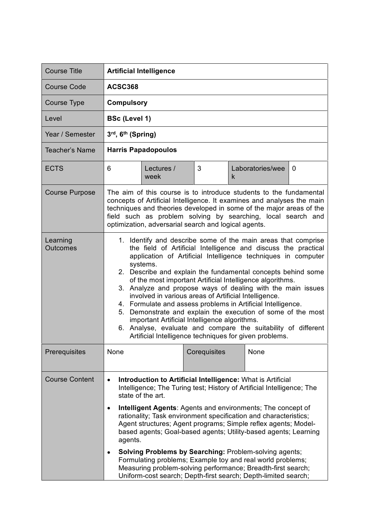| <b>Course Title</b>         | <b>Artificial Intelligence</b>                                                                                                                                                                                                                                                                                                                                                                                                                                                                                                                                                                                                                                                                                                                                                |                    |              |   |                  |          |
|-----------------------------|-------------------------------------------------------------------------------------------------------------------------------------------------------------------------------------------------------------------------------------------------------------------------------------------------------------------------------------------------------------------------------------------------------------------------------------------------------------------------------------------------------------------------------------------------------------------------------------------------------------------------------------------------------------------------------------------------------------------------------------------------------------------------------|--------------------|--------------|---|------------------|----------|
| <b>Course Code</b>          | <b>ACSC368</b>                                                                                                                                                                                                                                                                                                                                                                                                                                                                                                                                                                                                                                                                                                                                                                |                    |              |   |                  |          |
| Course Type                 | <b>Compulsory</b>                                                                                                                                                                                                                                                                                                                                                                                                                                                                                                                                                                                                                                                                                                                                                             |                    |              |   |                  |          |
| Level                       | <b>BSc (Level 1)</b>                                                                                                                                                                                                                                                                                                                                                                                                                                                                                                                                                                                                                                                                                                                                                          |                    |              |   |                  |          |
| Year / Semester             | 3rd, 6th (Spring)                                                                                                                                                                                                                                                                                                                                                                                                                                                                                                                                                                                                                                                                                                                                                             |                    |              |   |                  |          |
| Teacher's Name              | <b>Harris Papadopoulos</b>                                                                                                                                                                                                                                                                                                                                                                                                                                                                                                                                                                                                                                                                                                                                                    |                    |              |   |                  |          |
| <b>ECTS</b>                 | 6                                                                                                                                                                                                                                                                                                                                                                                                                                                                                                                                                                                                                                                                                                                                                                             | Lectures /<br>week | 3            | k | Laboratories/wee | $\Omega$ |
| <b>Course Purpose</b>       | The aim of this course is to introduce students to the fundamental<br>concepts of Artificial Intelligence. It examines and analyses the main<br>techniques and theories developed in some of the major areas of the<br>field such as problem solving by searching, local search and<br>optimization, adversarial search and logical agents.                                                                                                                                                                                                                                                                                                                                                                                                                                   |                    |              |   |                  |          |
| Learning<br><b>Outcomes</b> | 1. Identify and describe some of the main areas that comprise<br>the field of Artificial Intelligence and discuss the practical<br>application of Artificial Intelligence techniques in computer<br>systems.<br>2. Describe and explain the fundamental concepts behind some<br>of the most important Artificial Intelligence algorithms.<br>3. Analyze and propose ways of dealing with the main issues<br>involved in various areas of Artificial Intelligence.<br>4. Formulate and assess problems in Artificial Intelligence.<br>5. Demonstrate and explain the execution of some of the most<br>important Artificial Intelligence algorithms.<br>6. Analyse, evaluate and compare the suitability of different<br>Artificial Intelligence techniques for given problems. |                    |              |   |                  |          |
| Prerequisites               | None                                                                                                                                                                                                                                                                                                                                                                                                                                                                                                                                                                                                                                                                                                                                                                          |                    | Corequisites |   | None             |          |
| <b>Course Content</b>       | Introduction to Artificial Intelligence: What is Artificial<br>$\bullet$<br>Intelligence; The Turing test; History of Artificial Intelligence; The<br>state of the art.<br>Intelligent Agents: Agents and environments; The concept of<br>$\bullet$<br>rationality; Task environment specification and characteristics;<br>Agent structures; Agent programs; Simple reflex agents; Model-<br>based agents; Goal-based agents; Utility-based agents; Learning<br>agents.<br><b>Solving Problems by Searching: Problem-solving agents;</b><br>$\bullet$<br>Formulating problems; Example toy and real world problems;<br>Measuring problem-solving performance; Breadth-first search;<br>Uniform-cost search; Depth-first search; Depth-limited search;                         |                    |              |   |                  |          |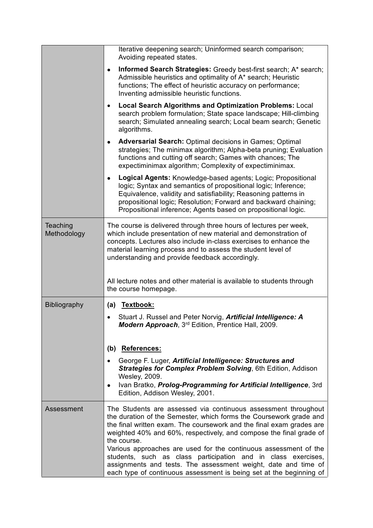|                         | Iterative deepening search; Uninformed search comparison;<br>Avoiding repeated states.                                                                                                                                                                                                                                                     |  |  |  |  |
|-------------------------|--------------------------------------------------------------------------------------------------------------------------------------------------------------------------------------------------------------------------------------------------------------------------------------------------------------------------------------------|--|--|--|--|
|                         | Informed Search Strategies: Greedy best-first search; A* search;<br>٠<br>Admissible heuristics and optimality of A* search; Heuristic<br>functions; The effect of heuristic accuracy on performance;<br>Inventing admissible heuristic functions.                                                                                          |  |  |  |  |
|                         | Local Search Algorithms and Optimization Problems: Local<br>$\bullet$<br>search problem formulation; State space landscape; Hill-climbing<br>search; Simulated annealing search; Local beam search; Genetic<br>algorithms.                                                                                                                 |  |  |  |  |
|                         | <b>Adversarial Search: Optimal decisions in Games; Optimal</b><br>٠<br>strategies; The minimax algorithm; Alpha-beta pruning; Evaluation<br>functions and cutting off search; Games with chances; The<br>expectiminimax algorithm; Complexity of expectiminimax.                                                                           |  |  |  |  |
|                         | Logical Agents: Knowledge-based agents; Logic; Propositional<br>٠<br>logic; Syntax and semantics of propositional logic; Inference;<br>Equivalence, validity and satisfiability; Reasoning patterns in<br>propositional logic; Resolution; Forward and backward chaining;<br>Propositional inference; Agents based on propositional logic. |  |  |  |  |
| Teaching<br>Methodology | The course is delivered through three hours of lectures per week,<br>which include presentation of new material and demonstration of<br>concepts. Lectures also include in-class exercises to enhance the<br>material learning process and to assess the student level of<br>understanding and provide feedback accordingly.               |  |  |  |  |
|                         | All lecture notes and other material is available to students through<br>the course homepage.                                                                                                                                                                                                                                              |  |  |  |  |
| <b>Bibliography</b>     | (a) Textbook:                                                                                                                                                                                                                                                                                                                              |  |  |  |  |
|                         | Stuart J. Russel and Peter Norvig, Artificial Intelligence: A<br>Modern Approach, 3rd Edition, Prentice Hall, 2009.                                                                                                                                                                                                                        |  |  |  |  |
|                         | <b>References:</b><br>(b)                                                                                                                                                                                                                                                                                                                  |  |  |  |  |
|                         | George F. Luger, Artificial Intelligence: Structures and<br>Strategies for Complex Problem Solving, 6th Edition, Addison<br>Wesley, 2009.                                                                                                                                                                                                  |  |  |  |  |
|                         | Ivan Bratko, Prolog-Programming for Artificial Intelligence, 3rd<br>Edition, Addison Wesley, 2001.                                                                                                                                                                                                                                         |  |  |  |  |
| Assessment              | The Students are assessed via continuous assessment throughout<br>the duration of the Semester, which forms the Coursework grade and<br>the final written exam. The coursework and the final exam grades are<br>weighted 40% and 60%, respectively, and compose the final grade of<br>the course.                                          |  |  |  |  |
|                         | Various approaches are used for the continuous assessment of the<br>students, such as class participation and in class exercises,<br>assignments and tests. The assessment weight, date and time of<br>each type of continuous assessment is being set at the beginning of                                                                 |  |  |  |  |